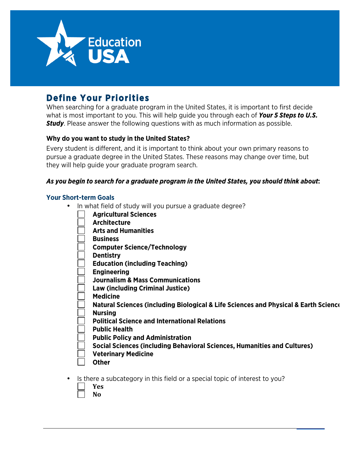

# **Define Your Priorities**

When searching for a graduate program in the United States, it is important to first decide what is most important to you. This will help guide you through each of *Your 5 Steps to U.S. Study*. Please answer the following questions with as much information as possible.

## **Why do you want to study in the United States?**

Every student is different, and it is important to think about your own primary reasons to pursue a graduate degree in the United States. These reasons may change over time, but they will help guide your graduate program search.

## *As you begin to search for a graduate program in the United States, you should think about***:**

#### **Your Short-term Goals**

- In what field of study will you pursue a graduate degree?
	- **Agricultural Sciences**
	- **Architecture**
	- **Arts and Humanities**
	- **Business**
	- **Computer Science/Technology**
	- **Dentistry**
	- **Education (including Teaching)**
	- **Engineering**
	- **Journalism & Mass Communications**
	- **Law (including Criminal Justice)**
	- **Medicine**
	- **Natural Sciences (including Biological & Life Sciences and Physical & Earth Sciences)**
	- **Nursing**
	- **Political Science and International Relations**
	- **Public Health**
	- **Public Policy and Administration**
	- **Social Sciences (including Behavioral Sciences, Humanities and Cultures)**
	- **Veterinary Medicine**
	- **Other**
- Is there a subcategory in this field or a special topic of interest to you?
	- **Yes**
		- **No**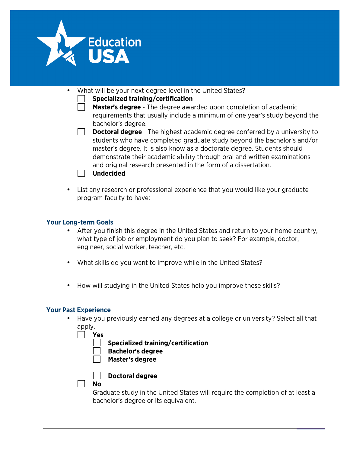

- What will be your next degree level in the United States?
	- **Specialized training/certification**
	- **Master's degree** The degree awarded upon completion of academic requirements that usually include a minimum of one year's study beyond the bachelor's degree.
	- $\Box$ **Doctoral degree** - The highest academic degree conferred by a university to students who have completed graduate study beyond the bachelor's and/or master's degree. It is also know as a doctorate degree. Students should demonstrate their academic ability through oral and written examinations and original research presented in the form of a dissertation.



• List any research or professional experience that you would like your graduate program faculty to have:

## **Your Long-term Goals**

- After you finish this degree in the United States and return to your home country, what type of job or employment do you plan to seek? For example, doctor, engineer, social worker, teacher, etc.
- What skills do you want to improve while in the United States?
- How will studying in the United States help you improve these skills?

### **Your Past Experience**

• Have you previously earned any degrees at a college or university? Select all that apply.

| Yes |                                           |
|-----|-------------------------------------------|
|     | <b>Specialized training/certification</b> |
|     | <b>Bachelor's degree</b>                  |
|     | Master's degree                           |
|     |                                           |



**Doctoral degree** 

#### **No**

Graduate study in the United States will require the completion of at least a bachelor's degree or its equivalent.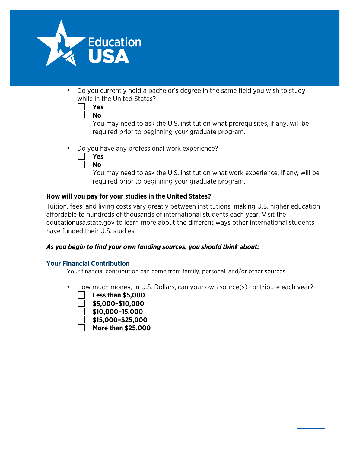

• Do you currently hold a bachelor's degree in the same field you wish to study while in the United States?

| Yes |
|-----|
| Nο  |

You may need to ask the U.S. institution what prerequisites, if any, will be required prior to beginning your graduate program.

• Do you have any professional work experience?

| <b>Y es</b> |
|-------------|
| N٥          |

You may need to ask the U.S. institution what work experience, if any, will be required prior to beginning your graduate program.

## **How will you pay for your studies in the United States?**

Tuition, fees, and living costs vary greatly between institutions, making U.S. higher education affordable to hundreds of thousands of international students each year. Visit the educationusa.state.gov to learn more about the different ways other international students have funded their U.S. studies.

## *As you begin to find your own funding sources, you should think about:*

## **Your Financial Contribution**

Your financial contribution can come from family, personal, and/or other sources.

• How much money, in U.S. Dollars, can your own source(s) contribute each year?



- **\$10,000–15,000**
- **\$15,000–\$25,000**
- **More than \$25,000**

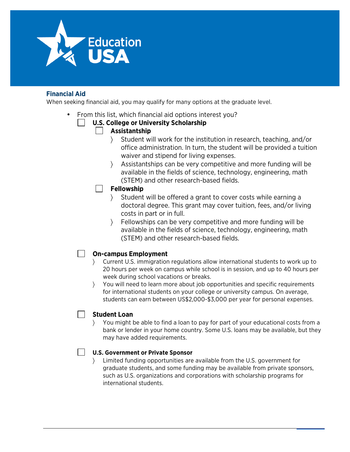

## **Financial Aid**

When seeking financial aid, you may qualify for many options at the graduate level.

• From this list, which financial aid options interest you?

## **U.S. College or University Scholarship**

## **Assistantship**

- 〉 Student will work for the institution in research, teaching, and/or office administration. In turn, the student will be provided a tuition waiver and stipend for living expenses.
- 〉 Assistantships can be very competitive and more funding will be available in the fields of science, technology, engineering, math (STEM) and other research-based fields.

## **Fellowship**

- 〉 Student will be offered a grant to cover costs while earning a doctoral degree. This grant may cover tuition, fees, and/or living costs in part or in full.
- Fellowships can be very competitive and more funding will be available in the fields of science, technology, engineering, math (STEM) and other research-based fields.

## **On-campus Employment**

- 〉 Current U.S. immigration regulations allow international students to work up to 20 hours per week on campus while school is in session, and up to 40 hours per week during school vacations or breaks.
- 〉 You will need to learn more about job opportunities and specific requirements for international students on your college or university campus. On average, students can earn between US\$2,000-\$3,000 per year for personal expenses.

## **Student Loan**

〉 You might be able to find a loan to pay for part of your educational costs from a bank or lender in your home country. Some U.S. loans may be available, but they may have added requirements.

#### **U.S. Government or Private Sponsor**

〉 Limited funding opportunities are available from the U.S. government for graduate students, and some funding may be available from private sponsors, such as U.S. organizations and corporations with scholarship programs for international students.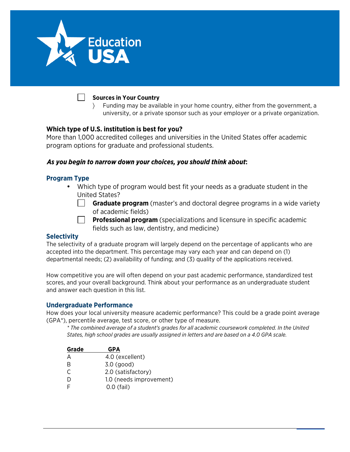

#### **Sources in Your Country**

〉 Funding may be available in your home country, either from the government, a university, or a private sponsor such as your employer or a private organization.

#### **Which type of U.S. institution is best for you?**

More than 1,000 accredited colleges and universities in the United States offer academic program options for graduate and professional students.

#### *As you begin to narrow down your choices, you should think about***:**

#### **Program Type**

- Which type of program would best fit your needs as a graduate student in the United States?
	- **Graduate program** (master's and doctoral degree programs in a wide variety of academic fields)
		- **Professional program** (specializations and licensure in specific academic fields such as law, dentistry, and medicine)

#### **Selectivity**

The selectivity of a graduate program will largely depend on the percentage of applicants who are accepted into the department. This percentage may vary each year and can depend on (1) departmental needs; (2) availability of funding; and (3) quality of the applications received.

How competitive you are will often depend on your past academic performance, standardized test scores, and your overall background. Think about your performance as an undergraduate student and answer each question in this list.

#### **Undergraduate Performance**

How does your local university measure academic performance? This could be a grade point average (GPA\*), percentile average, test score, or other type of measure.

*\* The combined average of a student's grades for all academic coursework completed. In the United States, high school grades are usually assigned in letters and are based on a 4.0 GPA scale.*

| Grade | <b>GPA</b>              |
|-------|-------------------------|
| А     | 4.0 (excellent)         |
| B     | $3.0$ (good)            |
| C     | 2.0 (satisfactory)      |
| D     | 1.0 (needs improvement) |
|       | $0.0$ (fail)            |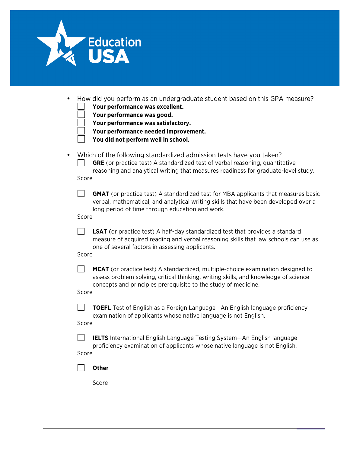

| • How did you perform as an undergraduate student based on this GPA measure? |  |  |  |
|------------------------------------------------------------------------------|--|--|--|
| Your performance was excellent.                                              |  |  |  |

**Your performance was good.**

**Your performance was satisfactory.**

**Your performance needed improvement.**

**You did not perform well in school.**

• Which of the following standardized admission tests have you taken?

 $\Box$ **GRE** (or practice test) A standardized test of verbal reasoning, quantitative reasoning and analytical writing that measures readiness for graduate-level study. Score

 $\Box$ **GMAT** (or practice test) A standardized test for MBA applicants that measures basic verbal, mathematical, and analytical writing skills that have been developed over a long period of time through education and work.

Score

 $\Box$ **LSAT** (or practice test) A half-day standardized test that provides a standard measure of acquired reading and verbal reasoning skills that law schools can use as one of several factors in assessing applicants.

Score

 $\mathbf{I}$ **MCAT** (or practice test) A standardized, multiple-choice examination designed to assess problem solving, critical thinking, writing skills, and knowledge of science concepts and principles prerequisite to the study of medicine.

Score

 $\Box$ **TOEFL** Test of English as a Foreign Language—An English language proficiency examination of applicants whose native language is not English.

Score

**IELTS** International English Language Testing System—An English language proficiency examination of applicants whose native language is not English. Score

 $\sim$ **Other**

Score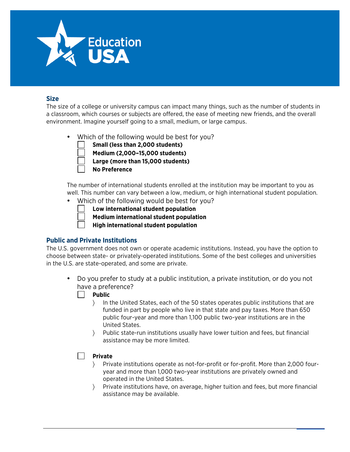

### **Size**

The size of a college or university campus can impact many things, such as the number of students in a classroom, which courses or subjects are offered, the ease of meeting new friends, and the overall environment. Imagine yourself going to a small, medium, or large campus.

- Which of the following would be best for you?
	- **Small (less than 2,000 students)**
	- **Medium (2,000–15,000 students)**
	- **Large (more than 15,000 students)**
	- **No Preference**

The number of international students enrolled at the institution may be important to you as well. This number can vary between a low, medium, or high international student population.

• Which of the following would be best for you?

**Low international student population**

- **Medium international student population**
- **High international student population**

### **Public and Private Institutions**

The U.S. government does not own or operate academic institutions. Instead, you have the option to choose between state- or privately-operated institutions. Some of the best colleges and universities in the U.S. are state-operated, and some are private.

- Do you prefer to study at a public institution, a private institution, or do you not have a preference?
	- **Public**
		- 〉 In the United States, each of the 50 states operates public institutions that are funded in part by people who live in that state and pay taxes. More than 650 public four-year and more than 1,100 public two-year institutions are in the United States.
		- 〉 Public state-run institutions usually have lower tuition and fees, but financial assistance may be more limited.

#### **Private**

- 〉 Private institutions operate as not-for-profit or for-profit. More than 2,000 fouryear and more than 1,000 two-year institutions are privately owned and operated in the United States.
- 〉 Private institutions have, on average, higher tuition and fees, but more financial assistance may be available.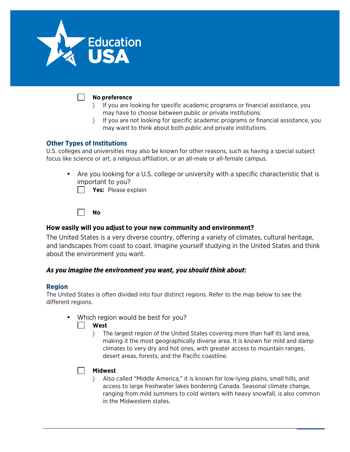

#### **No preference**

- 〉 If you are looking for specific academic programs or financial assistance, you may have to choose between public or private institutions.
- 〉 If you are not looking for specific academic programs or financial assistance, you may want to think about both public and private institutions.

#### **Other Types of Institutions**

U.S. colleges and universities may also be known for other reasons, such as having a special subject focus like science or art, a religious affiliation, or an all-male or all-female campus.

• Are you looking for a U.S. college or university with a specific characteristic that is important to you?

**Yes:** Please explain

**No**

#### **How easily will you adjust to your new community and environment?**

The United States is a very diverse country, offering a variety of climates, cultural heritage, and landscapes from coast to coast. Imagine yourself studying in the United States and think about the environment you want.

### *As you imagine the environment you want, you should think about***:**

#### **Region**

The United States is often divided into four distinct regions. Refer to the map below to see the different regions.

Which region would be best for you?

**West**

〉 The largest region of the United States covering more than half its land area, making it the most geographically diverse area. It is known for mild and damp climates to very dry and hot ones, with greater access to mountain ranges, desert areas, forests, and the Pacific coastline.

### **Midwest**

〉 Also called "Middle America," it is known for low-lying plains, small hills, and access to large freshwater lakes bordering Canada. Seasonal climate change, ranging from mild summers to cold winters with heavy snowfall, is also common in the Midwestern states.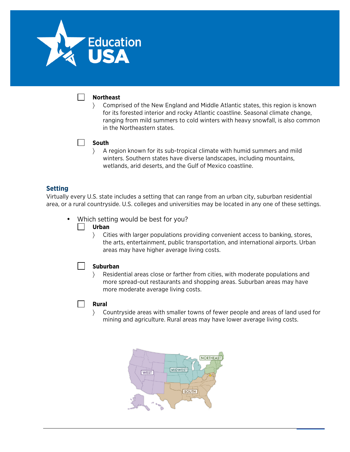

#### **Northeast**

〉 Comprised of the New England and Middle Atlantic states, this region is known for its forested interior and rocky Atlantic coastline. Seasonal climate change, ranging from mild summers to cold winters with heavy snowfall, is also common in the Northeastern states.

#### $\Box$ **South**

〉 A region known for its sub-tropical climate with humid summers and mild winters. Southern states have diverse landscapes, including mountains, wetlands, arid deserts, and the Gulf of Mexico coastline.

#### **Setting**

Virtually every U.S. state includes a setting that can range from an urban city, suburban residential area, or a rural countryside. U.S. colleges and universities may be located in any one of these settings.

• Which setting would be best for you?

#### **Urban**

〉 Cities with larger populations providing convenient access to banking, stores, the arts, entertainment, public transportation, and international airports. Urban areas may have higher average living costs.

#### **Suburban**

〉 Residential areas close or farther from cities, with moderate populations and more spread-out restaurants and shopping areas. Suburban areas may have more moderate average living costs.

#### **Rural**

 $\mathcal{L}$ 

〉 Countryside areas with smaller towns of fewer people and areas of land used for mining and agriculture. Rural areas may have lower average living costs.